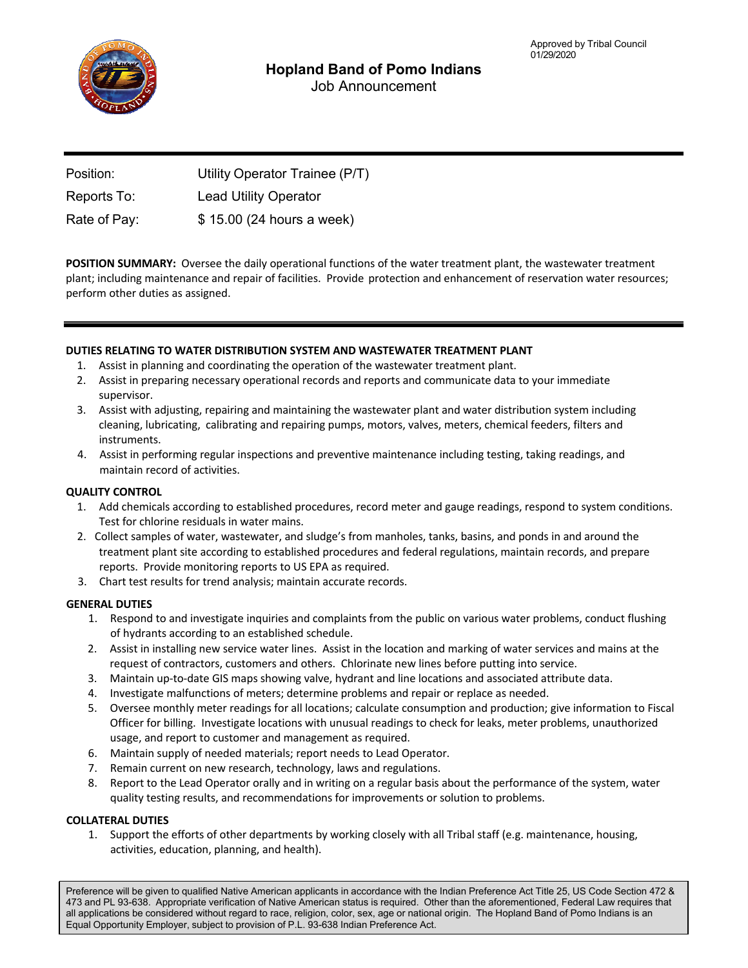

| Position:    | Utility Operator Trainee (P/T) |
|--------------|--------------------------------|
| Reports To:  | <b>Lead Utility Operator</b>   |
| Rate of Pay: | \$15.00 (24 hours a week)      |

**POSITION SUMMARY:** Oversee the daily operational functions of the water treatment plant, the wastewater treatment plant; including maintenance and repair of facilities. Provide protection and enhancement of reservation water resources; perform other duties as assigned.

# **DUTIES RELATING TO WATER DISTRIBUTION SYSTEM AND WASTEWATER TREATMENT PLANT**

- 1. Assist in planning and coordinating the operation of the wastewater treatment plant.
- 2. Assist in preparing necessary operational records and reports and communicate data to your immediate supervisor.
- 3. Assist with adjusting, repairing and maintaining the wastewater plant and water distribution system including cleaning, lubricating, calibrating and repairing pumps, motors, valves, meters, chemical feeders, filters and instruments.
- 4. Assist in performing regular inspections and preventive maintenance including testing, taking readings, and maintain record of activities.

# **QUALITY CONTROL**

- 1. Add chemicals according to established procedures, record meter and gauge readings, respond to system conditions. Test for chlorine residuals in water mains.
- 2. Collect samples of water, wastewater, and sludge's from manholes, tanks, basins, and ponds in and around the treatment plant site according to established procedures and federal regulations, maintain records, and prepare reports. Provide monitoring reports to US EPA as required.
- 3. Chart test results for trend analysis; maintain accurate records.

### **GENERAL DUTIES**

- 1. Respond to and investigate inquiries and complaints from the public on various water problems, conduct flushing of hydrants according to an established schedule.
- 2. Assist in installing new service water lines. Assist in the location and marking of water services and mains at the request of contractors, customers and others. Chlorinate new lines before putting into service.
- 3. Maintain up‐to‐date GIS maps showing valve, hydrant and line locations and associated attribute data.
- 4. Investigate malfunctions of meters; determine problems and repair or replace as needed.
- 5. Oversee monthly meter readings for all locations; calculate consumption and production; give information to Fiscal Officer for billing. Investigate locations with unusual readings to check for leaks, meter problems, unauthorized usage, and report to customer and management as required.
- 6. Maintain supply of needed materials; report needs to Lead Operator.
- 7. Remain current on new research, technology, laws and regulations.
- 8. Report to the Lead Operator orally and in writing on a regular basis about the performance of the system, water quality testing results, and recommendations for improvements or solution to problems.

### **COLLATERAL DUTIES**

1. Support the efforts of other departments by working closely with all Tribal staff (e.g. maintenance, housing, activities, education, planning, and health).

Preference will be given to qualified Native American applicants in accordance with the Indian Preference Act Title 25, US Code Section 472 & 473 and PL 93-638. Appropriate verification of Native American status is required. Other than the aforementioned, Federal Law requires that all applications be considered without regard to race, religion, color, sex, age or national origin. The Hopland Band of Pomo Indians is an Equal Opportunity Employer, subject to provision of P.L. 93-638 Indian Preference Act.